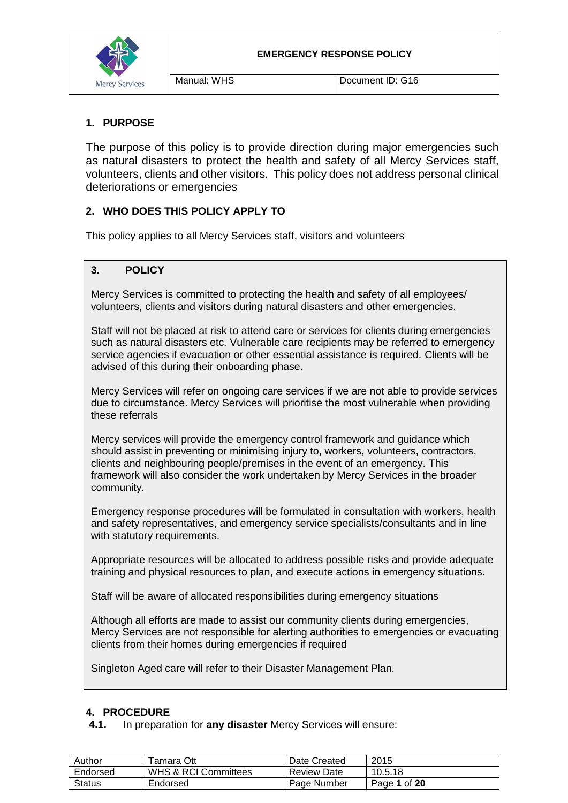

## **1. PURPOSE**

The purpose of this policy is to provide direction during major emergencies such as natural disasters to protect the health and safety of all Mercy Services staff, volunteers, clients and other visitors. This policy does not address personal clinical deteriorations or emergencies

## **2. WHO DOES THIS POLICY APPLY TO**

This policy applies to all Mercy Services staff, visitors and volunteers

## **3. POLICY**

Mercy Services is committed to protecting the health and safety of all employees/ volunteers, clients and visitors during natural disasters and other emergencies.

Staff will not be placed at risk to attend care or services for clients during emergencies such as natural disasters etc. Vulnerable care recipients may be referred to emergency service agencies if evacuation or other essential assistance is required. Clients will be advised of this during their onboarding phase.

Mercy Services will refer on ongoing care services if we are not able to provide services due to circumstance. Mercy Services will prioritise the most vulnerable when providing these referrals

Mercy services will provide the emergency control framework and guidance which should assist in preventing or minimising injury to, workers, volunteers, contractors, clients and neighbouring people/premises in the event of an emergency. This framework will also consider the work undertaken by Mercy Services in the broader community.

Emergency response procedures will be formulated in consultation with workers, health and safety representatives, and emergency service specialists/consultants and in line with statutory requirements.

Appropriate resources will be allocated to address possible risks and provide adequate training and physical resources to plan, and execute actions in emergency situations.

Staff will be aware of allocated responsibilities during emergency situations

Although all efforts are made to assist our community clients during emergencies, Mercy Services are not responsible for alerting authorities to emergencies or evacuating clients from their homes during emergencies if required

Singleton Aged care will refer to their Disaster Management Plan.

#### **4. PROCEDURE**

**4.1.** In preparation for **any disaster** Mercy Services will ensure:

| Author   | <sup>r</sup> amara Ott          | Date Created       | 2015         |
|----------|---------------------------------|--------------------|--------------|
| Endorsed | <b>WHS &amp; RCI Committees</b> | <b>Review Date</b> | 10.5.18      |
| Status   | Endorsed                        | Page Number        | Page 1 of 20 |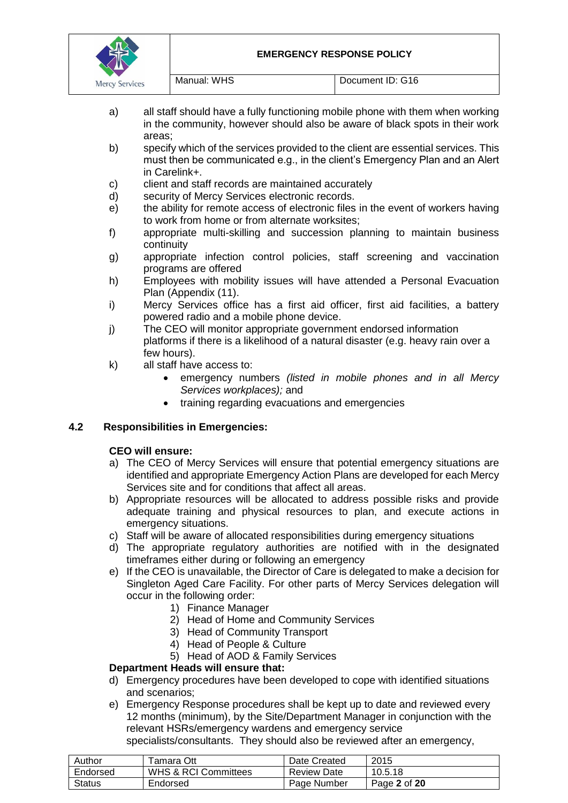|                       |             | ΙF<br>FΝ |
|-----------------------|-------------|----------|
| <b>Mercy Services</b> | Manual: WHS |          |

Document ID: G16

a) all staff should have a fully functioning mobile phone with them when working in the community, however should also be aware of black spots in their work areas;

- b) specify which of the services provided to the client are essential services. This must then be communicated e.g., in the client's Emergency Plan and an Alert in Carelink+.
- c) client and staff records are maintained accurately
- d) security of Mercy Services electronic records.
- e) the ability for remote access of electronic files in the event of workers having to work from home or from alternate worksites;
- f) appropriate multi-skilling and succession planning to maintain business continuity
- g) appropriate infection control policies, staff screening and vaccination programs are offered
- h) Employees with mobility issues will have attended a Personal Evacuation Plan (Appendix (11).
- i) Mercy Services office has a first aid officer, first aid facilities, a battery powered radio and a mobile phone device.
- j) The CEO will monitor appropriate government endorsed information platforms if there is a likelihood of a natural disaster (e.g. heavy rain over a few hours).
- k) all staff have access to:
	- emergency numbers *(listed in mobile phones and in all Mercy Services workplaces);* and
	- training regarding evacuations and emergencies

## **4.2 Responsibilities in Emergencies:**

## **CEO will ensure:**

- a) The CEO of Mercy Services will ensure that potential emergency situations are identified and appropriate Emergency Action Plans are developed for each Mercy Services site and for conditions that affect all areas.
- b) Appropriate resources will be allocated to address possible risks and provide adequate training and physical resources to plan, and execute actions in emergency situations.
- c) Staff will be aware of allocated responsibilities during emergency situations
- d) The appropriate regulatory authorities are notified with in the designated timeframes either during or following an emergency
- e) If the CEO is unavailable, the Director of Care is delegated to make a decision for Singleton Aged Care Facility. For other parts of Mercy Services delegation will occur in the following order:
	- 1) Finance Manager
	- 2) Head of Home and Community Services
	- 3) Head of Community Transport
	- 4) Head of People & Culture
	- 5) Head of AOD & Family Services

## **Department Heads will ensure that:**

- d) Emergency procedures have been developed to cope with identified situations and scenarios;
- e) Emergency Response procedures shall be kept up to date and reviewed every 12 months (minimum), by the Site/Department Manager in conjunction with the relevant HSRs/emergency wardens and emergency service

specialists/consultants. They should also be reviewed after an emergency,

| Author        | <sup>г</sup> amara Ott          | Date Created       | 2015         |
|---------------|---------------------------------|--------------------|--------------|
| Endorsed      | <b>WHS &amp; RCI Committees</b> | <b>Review Date</b> | 10.5.18      |
| <b>Status</b> | Endorsed                        | Page Number        | Page 2 of 20 |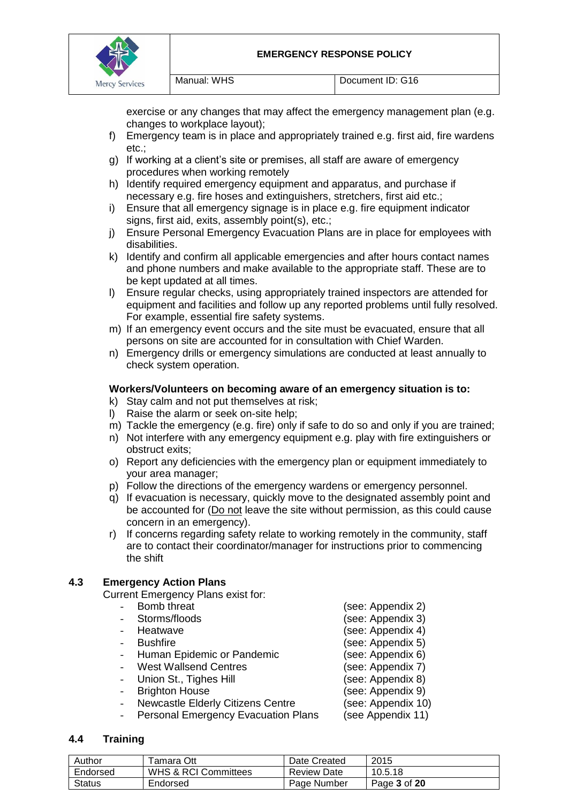

exercise or any changes that may affect the emergency management plan (e.g. changes to workplace layout);

- f) Emergency team is in place and appropriately trained e.g. first aid, fire wardens etc.;
- g) If working at a client's site or premises, all staff are aware of emergency procedures when working remotely
- h) Identify required emergency equipment and apparatus, and purchase if necessary e.g. fire hoses and extinguishers, stretchers, first aid etc.;
- i) Ensure that all emergency signage is in place e.g. fire equipment indicator signs, first aid, exits, assembly point(s), etc.;
- j) Ensure Personal Emergency Evacuation Plans are in place for employees with disabilities.
- k) Identify and confirm all applicable emergencies and after hours contact names and phone numbers and make available to the appropriate staff. These are to be kept updated at all times.
- l) Ensure regular checks, using appropriately trained inspectors are attended for equipment and facilities and follow up any reported problems until fully resolved. For example, essential fire safety systems.
- m) If an emergency event occurs and the site must be evacuated, ensure that all persons on site are accounted for in consultation with Chief Warden.
- n) Emergency drills or emergency simulations are conducted at least annually to check system operation.

#### **Workers/Volunteers on becoming aware of an emergency situation is to:**

- k) Stay calm and not put themselves at risk;
- l) Raise the alarm or seek on-site help;
- m) Tackle the emergency (e.g. fire) only if safe to do so and only if you are trained;
- n) Not interfere with any emergency equipment e.g. play with fire extinguishers or obstruct exits;
- o) Report any deficiencies with the emergency plan or equipment immediately to your area manager;
- p) Follow the directions of the emergency wardens or emergency personnel.
- q) If evacuation is necessary, quickly move to the designated assembly point and be accounted for (Do not leave the site without permission, as this could cause concern in an emergency).
- r) If concerns regarding safety relate to working remotely in the community, staff are to contact their coordinator/manager for instructions prior to commencing the shift

## **4.3 Emergency Action Plans**

Current Emergency Plans exist for:

- 
- 
- 
- 
- Human Epidemic or Pandemic (see: Appendix 6)
	- Vest Wallsend Centres (see: Appendix 7)
- 
- 
- Newcastle Elderly Citizens Centre (see: Appendix 10)
- Personal Emergency Evacuation Plans (see Appendix 11)

#### **4.4 Training**

| Author        | ™amara Ott           | Date Created       | 2015         |
|---------------|----------------------|--------------------|--------------|
| Endorsed      | WHS & RCI Committees | <b>Review Date</b> | 10.5.18      |
| <b>Status</b> | Endorsed             | Page Number        | Page 3 of 20 |

- Bomb threat (see: Appendix 2) - Storms/floods (see: Appendix 3) Heatwave (see: Appendix 4) Example 3 Bushfire (see: Appendix 5) Union St., Tighes Hill (see: Appendix 8) **Brighton House** (see: Appendix 9)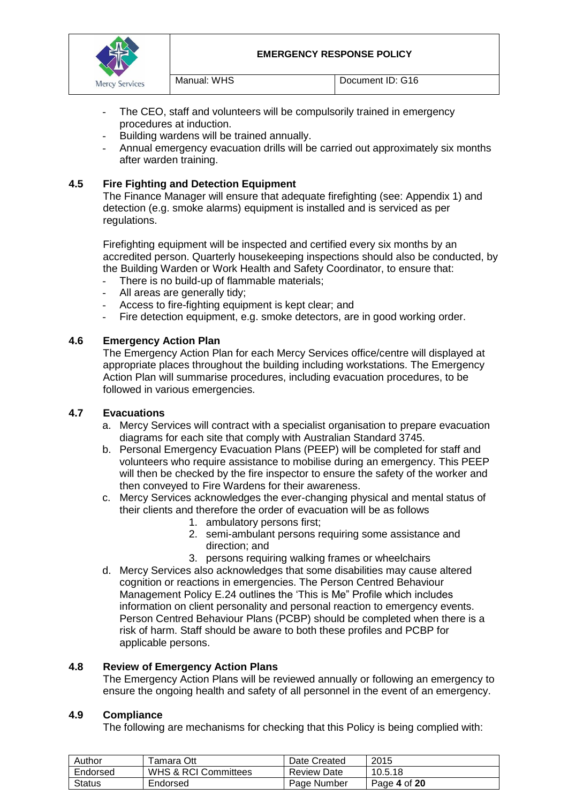

- The CEO, staff and volunteers will be compulsorily trained in emergency procedures at induction.
- Building wardens will be trained annually.
- Annual emergency evacuation drills will be carried out approximately six months after warden training.

## **4.5 Fire Fighting and Detection Equipment**

The Finance Manager will ensure that adequate firefighting (see: Appendix 1) and detection (e.g. smoke alarms) equipment is installed and is serviced as per regulations.

Firefighting equipment will be inspected and certified every six months by an accredited person. Quarterly housekeeping inspections should also be conducted, by the Building Warden or Work Health and Safety Coordinator, to ensure that:

- There is no build-up of flammable materials;
- All areas are generally tidy;
- Access to fire-fighting equipment is kept clear; and
- Fire detection equipment, e.g. smoke detectors, are in good working order.

## **4.6 Emergency Action Plan**

The Emergency Action Plan for each Mercy Services office/centre will displayed at appropriate places throughout the building including workstations. The Emergency Action Plan will summarise procedures, including evacuation procedures, to be followed in various emergencies.

#### **4.7 Evacuations**

- a. Mercy Services will contract with a specialist organisation to prepare evacuation diagrams for each site that comply with Australian Standard 3745.
- b. Personal Emergency Evacuation Plans (PEEP) will be completed for staff and volunteers who require assistance to mobilise during an emergency. This PEEP will then be checked by the fire inspector to ensure the safety of the worker and then conveyed to Fire Wardens for their awareness.
- c. Mercy Services acknowledges the ever-changing physical and mental status of their clients and therefore the order of evacuation will be as follows
	- 1. ambulatory persons first;
	- 2. semi-ambulant persons requiring some assistance and direction; and
	- 3. persons requiring walking frames or wheelchairs
- d. Mercy Services also acknowledges that some disabilities may cause altered cognition or reactions in emergencies. The Person Centred Behaviour Management Policy E.24 outlines the 'This is Me" Profile which includes information on client personality and personal reaction to emergency events. Person Centred Behaviour Plans (PCBP) should be completed when there is a risk of harm. Staff should be aware to both these profiles and PCBP for applicable persons.

#### **4.8 Review of Emergency Action Plans**

The Emergency Action Plans will be reviewed annually or following an emergency to ensure the ongoing health and safety of all personnel in the event of an emergency.

#### **4.9 Compliance**

The following are mechanisms for checking that this Policy is being complied with:

| Author   | ™amara Ott           | Date Created       | 2015         |
|----------|----------------------|--------------------|--------------|
| Endorsed | WHS & RCI Committees | <b>Review Date</b> | 10.5.18      |
| Status   | Endorsed             | Page Number        | Page 4 of 20 |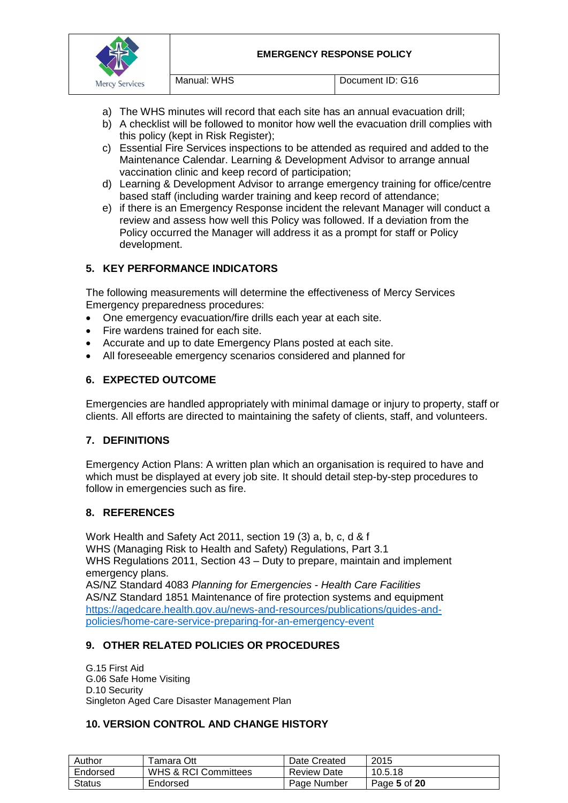

- a) The WHS minutes will record that each site has an annual evacuation drill;
- b) A checklist will be followed to monitor how well the evacuation drill complies with this policy (kept in Risk Register);
- c) Essential Fire Services inspections to be attended as required and added to the Maintenance Calendar. Learning & Development Advisor to arrange annual vaccination clinic and keep record of participation;
- d) Learning & Development Advisor to arrange emergency training for office/centre based staff (including warder training and keep record of attendance;
- e) if there is an Emergency Response incident the relevant Manager will conduct a review and assess how well this Policy was followed. If a deviation from the Policy occurred the Manager will address it as a prompt for staff or Policy development.

## **5. KEY PERFORMANCE INDICATORS**

The following measurements will determine the effectiveness of Mercy Services Emergency preparedness procedures:

- One emergency evacuation/fire drills each year at each site.
- Fire wardens trained for each site.
- Accurate and up to date Emergency Plans posted at each site.
- All foreseeable emergency scenarios considered and planned for

## **6. EXPECTED OUTCOME**

Emergencies are handled appropriately with minimal damage or injury to property, staff or clients. All efforts are directed to maintaining the safety of clients, staff, and volunteers.

#### **7. DEFINITIONS**

Emergency Action Plans: A written [plan](http://www.businessdictionary.com/definition/plan.html) which an [organisation](http://www.businessdictionary.com/definition/organization.html) is [required](http://www.businessdictionary.com/definition/required.html) to have and which must be displayed at every job [site.](http://www.businessdictionary.com/definition/site.html) It should detail step-by-step procedures to follow in emergencies such as [fire.](http://www.businessdictionary.com/definition/fire.html)

#### **8. REFERENCES**

Work Health and Safety Act 2011, section 19 (3) a, b, c, d & f WHS (Managing Risk to Health and Safety) Regulations, Part 3.1 WHS Regulations 2011, Section 43 – Duty to prepare, maintain and implement emergency plans.

AS/NZ Standard 4083 *Planning for Emergencies - Health Care Facilities* AS/NZ Standard 1851 Maintenance of fire protection systems and equipment [https://agedcare.health.gov.au/news-and-resources/publications/guides-and](https://agedcare.health.gov.au/news-and-resources/publications/guides-and-policies/home-care-service-preparing-for-an-emergency-event)[policies/home-care-service-preparing-for-an-emergency-event](https://agedcare.health.gov.au/news-and-resources/publications/guides-and-policies/home-care-service-preparing-for-an-emergency-event)

## **9. OTHER RELATED POLICIES OR PROCEDURES**

G.15 First Aid G.06 Safe Home Visiting D.10 Security Singleton Aged Care Disaster Management Plan

#### **10. VERSION CONTROL AND CHANGE HISTORY**

| Author   | ⊺amara Ott           | Date Created       | 2015         |
|----------|----------------------|--------------------|--------------|
| Endorsed | WHS & RCI Committees | <b>Review Date</b> | 10.5.18      |
| Status   | Endorsed             | Page Number        | Page 5 of 20 |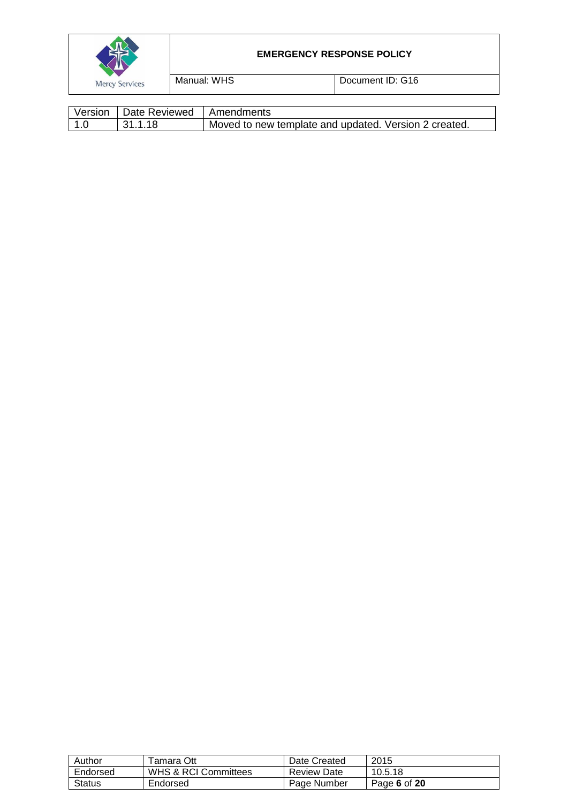|                       |             | <b>EMERGENCY RESPONSE POLICY</b> |  |
|-----------------------|-------------|----------------------------------|--|
| <b>Mercy Services</b> | Manual: WHS | Document ID: G16                 |  |
|                       |             |                                  |  |

| Version | □ Date Reviewed I Amendments |                                                       |
|---------|------------------------------|-------------------------------------------------------|
| 1.0     | 131.1.18                     | Moved to new template and updated. Version 2 created. |

| Author   | Tamara Ott                      | Date Created       | 2015         |
|----------|---------------------------------|--------------------|--------------|
| Endorsed | <b>WHS &amp; RCI Committees</b> | <b>Review Date</b> | 10.5.18      |
| Status   | Endorsed                        | Page Number        | Page 6 of 20 |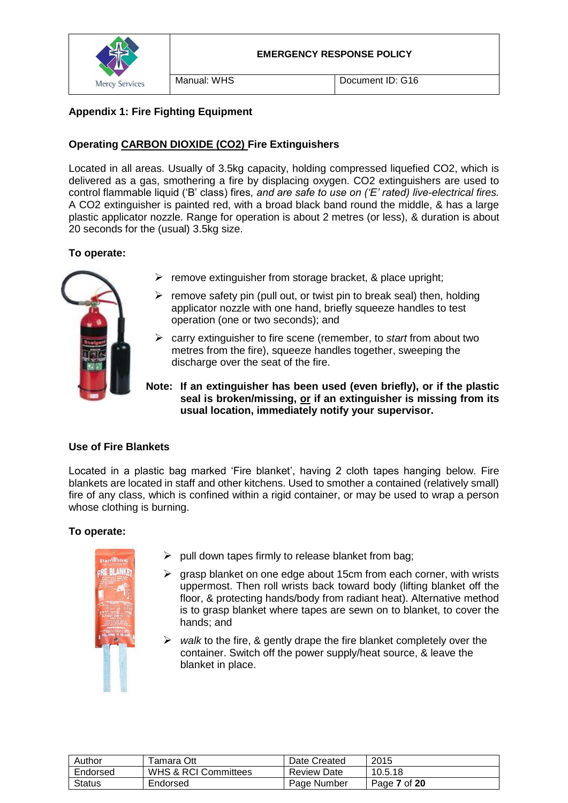

## **Appendix 1: Fire Fighting Equipment**

## **Operating CARBON DIOXIDE (CO2) Fire Extinguishers**

Located in all areas. Usually of 3.5kg capacity, holding compressed liquefied CO2, which is delivered as a gas, smothering a fire by displacing oxygen. CO2 extinguishers are used to control flammable liquid ('B' class) fires, *and are safe to use on ('E' rated) live-electrical fires.* A CO2 extinguisher is painted red, with a broad black band round the middle, & has a large plastic applicator nozzle. Range for operation is about 2 metres (or less), & duration is about 20 seconds for the (usual) 3.5kg size.

## **To operate:**



- $\triangleright$  remove extinguisher from storage bracket, & place upright;
- $\triangleright$  remove safety pin (pull out, or twist pin to break seal) then, holding applicator nozzle with one hand, briefly squeeze handles to test operation (one or two seconds); and
- carry extinguisher to fire scene (remember, to *start* from about two metres from the fire), squeeze handles together, sweeping the discharge over the seat of the fire.
- **Note: If an extinguisher has been used (even briefly), or if the plastic seal is broken/missing, or if an extinguisher is missing from its usual location, immediately notify your supervisor.**

## **Use of Fire Blankets**

Located in a plastic bag marked 'Fire blanket', having 2 cloth tapes hanging below. Fire blankets are located in staff and other kitchens. Used to smother a contained (relatively small) fire of any class, which is confined within a rigid container, or may be used to wrap a person whose clothing is burning.

## **To operate:**



- $\triangleright$  pull down tapes firmly to release blanket from bag;
- $\triangleright$  grasp blanket on one edge about 15cm from each corner, with wrists uppermost. Then roll wrists back toward body (lifting blanket off the floor, & protecting hands/body from radiant heat). Alternative method is to grasp blanket where tapes are sewn on to blanket, to cover the hands; and
- *walk* to the fire, & gently drape the fire blanket completely over the container. Switch off the power supply/heat source, & leave the blanket in place.

| Author        | Tamara Ott           | Date Created       | 2015         |
|---------------|----------------------|--------------------|--------------|
| Endorsed      | WHS & RCI Committees | <b>Review Date</b> | 10.5.18      |
| <b>Status</b> | Endorsed             | Page Number        | Page 7 of 20 |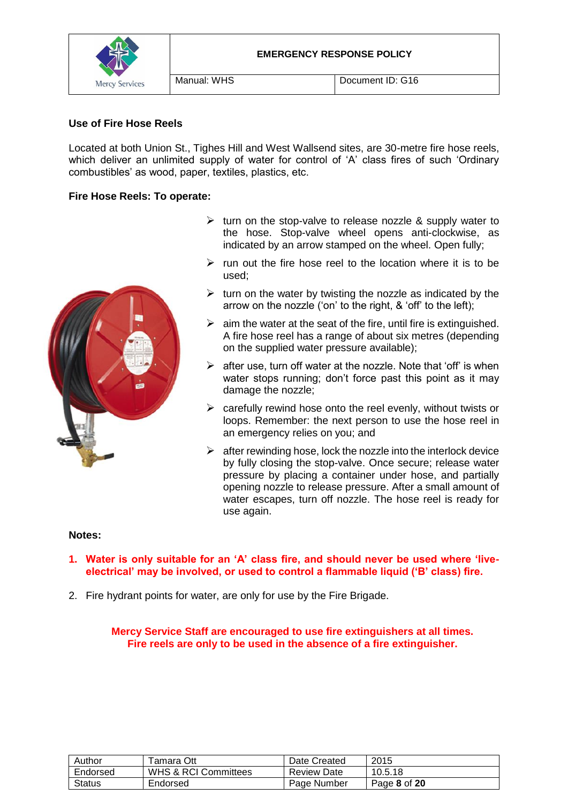

## **Use of Fire Hose Reels**

Located at both Union St., Tighes Hill and West Wallsend sites, are 30-metre fire hose reels, which deliver an unlimited supply of water for control of 'A' class fires of such 'Ordinary combustibles' as wood, paper, textiles, plastics, etc.

#### **Fire Hose Reels: To operate:**



- $\triangleright$  turn on the stop-valve to release nozzle & supply water to the hose. Stop-valve wheel opens anti-clockwise, as indicated by an arrow stamped on the wheel. Open fully;
- $\triangleright$  run out the fire hose reel to the location where it is to be used;
- $\triangleright$  turn on the water by twisting the nozzle as indicated by the arrow on the nozzle ('on' to the right, & 'off' to the left);
- $\geq$  aim the water at the seat of the fire, until fire is extinguished. A fire hose reel has a range of about six metres (depending on the supplied water pressure available);
- $\triangleright$  after use, turn off water at the nozzle. Note that 'off' is when water stops running; don't force past this point as it may damage the nozzle;
- $\triangleright$  carefully rewind hose onto the reel evenly, without twists or loops. Remember: the next person to use the hose reel in an emergency relies on you; and
- $\triangleright$  after rewinding hose, lock the nozzle into the interlock device by fully closing the stop-valve. Once secure; release water pressure by placing a container under hose, and partially opening nozzle to release pressure. After a small amount of water escapes, turn off nozzle. The hose reel is ready for use again.

#### **Notes:**

- **1. Water is only suitable for an 'A' class fire, and should never be used where 'liveelectrical' may be involved, or used to control a flammable liquid ('B' class) fire.**
- 2. Fire hydrant points for water, are only for use by the Fire Brigade.

**Mercy Service Staff are encouraged to use fire extinguishers at all times. Fire reels are only to be used in the absence of a fire extinguisher.**

| Author   | Tamara Ott                      | Date Created       | 2015         |
|----------|---------------------------------|--------------------|--------------|
| Endorsed | <b>WHS &amp; RCI Committees</b> | <b>Review Date</b> | 10.5.18      |
| Status   | Endorsed                        | Page Number        | Page 8 of 20 |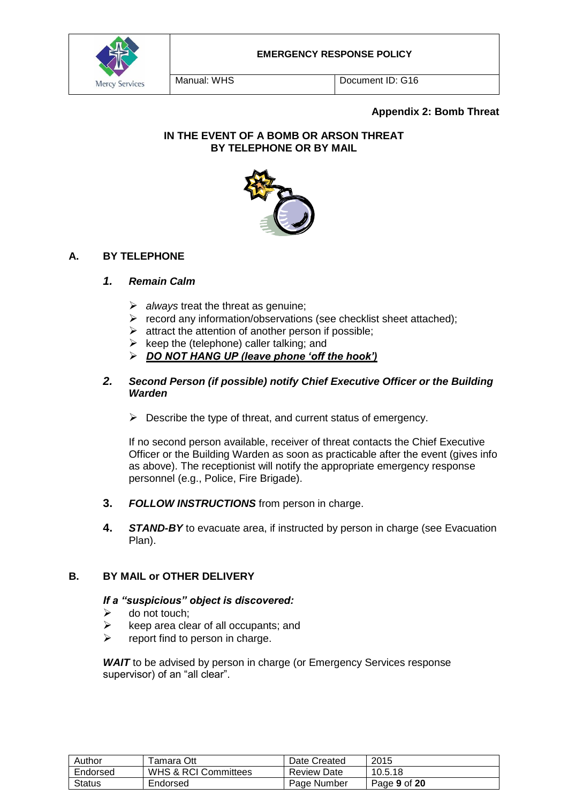

Manual: WHS Document ID: G16

## **Appendix 2: Bomb Threat**

## **IN THE EVENT OF A BOMB OR ARSON THREAT BY TELEPHONE OR BY MAIL**



## **A. BY TELEPHONE**

#### *1. Remain Calm*

- *always* treat the threat as genuine;
- $\triangleright$  record any information/observations (see checklist sheet attached);
- $\triangleright$  attract the attention of another person if possible:
- $\triangleright$  keep the (telephone) caller talking; and
- *DO NOT HANG UP (leave phone 'off the hook')*

### *2. Second Person (if possible) notify Chief Executive Officer or the Building Warden*

 $\triangleright$  Describe the type of threat, and current status of emergency.

If no second person available, receiver of threat contacts the Chief Executive Officer or the Building Warden as soon as practicable after the event (gives info as above). The receptionist will notify the appropriate emergency response personnel (e.g., Police, Fire Brigade).

- **3.** *FOLLOW INSTRUCTIONS* from person in charge.
- **4.** *STAND-BY* to evacuate area, if instructed by person in charge (see Evacuation Plan).

## **B. BY MAIL or OTHER DELIVERY**

#### *If a "suspicious" object is discovered:*

- $\triangleright$  do not touch:
- $\triangleright$  keep area clear of all occupants; and
- $\triangleright$  report find to person in charge.

**WAIT** to be advised by person in charge (or Emergency Services response supervisor) of an "all clear".

| Author   | Гаmаrа Ott                      | Date Created       | 2015         |
|----------|---------------------------------|--------------------|--------------|
| Endorsed | <b>WHS &amp; RCI Committees</b> | <b>Review Date</b> | 10.5.18      |
| Status   | Endorsed                        | Page Number        | Page 9 of 20 |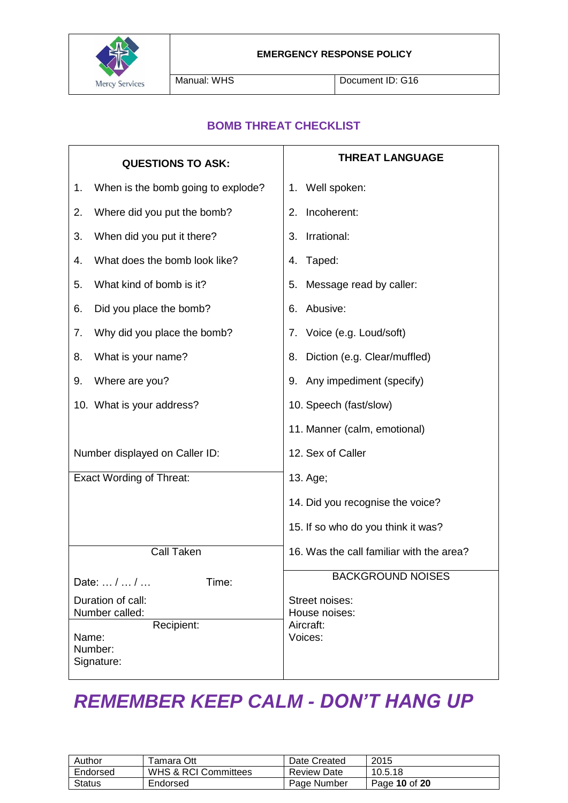

Manual: WHS Document ID: G16

## **BOMB THREAT CHECKLIST**

| <b>QUESTIONS TO ASK:</b>                     | <b>THREAT LANGUAGE</b>                   |  |  |
|----------------------------------------------|------------------------------------------|--|--|
| When is the bomb going to explode?<br>1.     | 1. Well spoken:                          |  |  |
| Where did you put the bomb?<br>2.            | Incoherent:<br>2.                        |  |  |
| When did you put it there?<br>3.             | Irrational:<br>3.                        |  |  |
| What does the bomb look like?<br>4.          | Taped:<br>4.                             |  |  |
| What kind of bomb is it?<br>5.               | Message read by caller:<br>5.            |  |  |
| Did you place the bomb?<br>6.                | Abusive:<br>6.                           |  |  |
| Why did you place the bomb?<br>7.            | 7. Voice (e.g. Loud/soft)                |  |  |
| What is your name?<br>8.                     | Diction (e.g. Clear/muffled)<br>8.       |  |  |
| Where are you?<br>9.                         | 9. Any impediment (specify)              |  |  |
| 10. What is your address?                    | 10. Speech (fast/slow)                   |  |  |
|                                              | 11. Manner (calm, emotional)             |  |  |
| Number displayed on Caller ID:               | 12. Sex of Caller                        |  |  |
| <b>Exact Wording of Threat:</b>              | 13. Age;                                 |  |  |
|                                              | 14. Did you recognise the voice?         |  |  |
|                                              | 15. If so who do you think it was?       |  |  |
| Call Taken                                   | 16. Was the call familiar with the area? |  |  |
| Date:  /  /<br>Time:                         | <b>BACKGROUND NOISES</b>                 |  |  |
| Duration of call:<br>Number called:          | Street noises:<br>House noises:          |  |  |
| Recipient:<br>Name:<br>Number:<br>Signature: | Aircraft:<br>Voices:                     |  |  |

# *REMEMBER KEEP CALM - DON'T HANG UP*

| Author        | Tamara Ott           | Date Created       | 2015          |
|---------------|----------------------|--------------------|---------------|
| Endorsed      | WHS & RCI Committees | <b>Review Date</b> | 10.5.18       |
| <b>Status</b> | Endorsed             | Page Number        | Page 10 of 20 |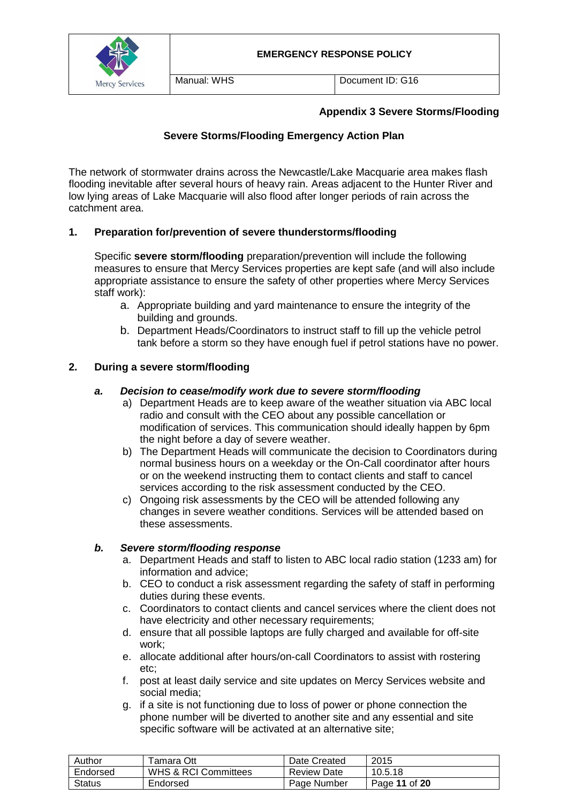



## **Appendix 3 Severe Storms/Flooding**

## **Severe Storms/Flooding Emergency Action Plan**

The network of stormwater drains across the Newcastle/Lake Macquarie area makes flash flooding inevitable after several hours of heavy rain. Areas adjacent to the Hunter River and low lying areas of Lake Macquarie will also flood after longer periods of rain across the catchment area.

## **1. Preparation for/prevention of severe thunderstorms/flooding**

Specific **severe storm/flooding** preparation/prevention will include the following measures to ensure that Mercy Services properties are kept safe (and will also include appropriate assistance to ensure the safety of other properties where Mercy Services staff work):

- a. Appropriate building and yard maintenance to ensure the integrity of the building and grounds.
- b. Department Heads/Coordinators to instruct staff to fill up the vehicle petrol tank before a storm so they have enough fuel if petrol stations have no power.

#### **2. During a severe storm/flooding**

#### *a. Decision to cease/modify work due to severe storm/flooding*

- a) Department Heads are to keep aware of the weather situation via ABC local radio and consult with the CEO about any possible cancellation or modification of services. This communication should ideally happen by 6pm the night before a day of severe weather.
- b) The Department Heads will communicate the decision to Coordinators during normal business hours on a weekday or the On-Call coordinator after hours or on the weekend instructing them to contact clients and staff to cancel services according to the risk assessment conducted by the CEO.
- c) Ongoing risk assessments by the CEO will be attended following any changes in severe weather conditions. Services will be attended based on these assessments.

#### *b. Severe storm/flooding response*

- a. Department Heads and staff to listen to ABC local radio station (1233 am) for information and advice;
- b. CEO to conduct a risk assessment regarding the safety of staff in performing duties during these events.
- c. Coordinators to contact clients and cancel services where the client does not have electricity and other necessary requirements;
- d. ensure that all possible laptops are fully charged and available for off-site work;
- e. allocate additional after hours/on-call Coordinators to assist with rostering etc;
- f. post at least daily service and site updates on Mercy Services website and social media;
- g. if a site is not functioning due to loss of power or phone connection the phone number will be diverted to another site and any essential and site specific software will be activated at an alternative site;

| Author        | ⊺amara Ott                      | Date Created       | 2015          |
|---------------|---------------------------------|--------------------|---------------|
| Endorsed      | <b>WHS &amp; RCI Committees</b> | <b>Review Date</b> | 10.5.18       |
| <b>Status</b> | Endorsed                        | Page Number        | Page 11 of 20 |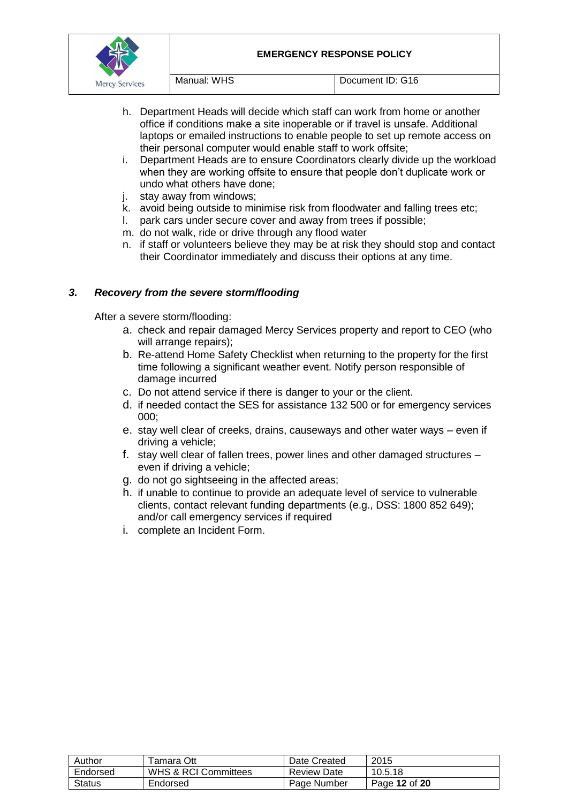

- h. Department Heads will decide which staff can work from home or another office if conditions make a site inoperable or if travel is unsafe. Additional laptops or emailed instructions to enable people to set up remote access on their personal computer would enable staff to work offsite;
- i. Department Heads are to ensure Coordinators clearly divide up the workload when they are working offsite to ensure that people don't duplicate work or undo what others have done;
- j. stay away from windows;
- k. avoid being outside to minimise risk from floodwater and falling trees etc;
- l. park cars under secure cover and away from trees if possible;
- m. do not walk, ride or drive through any flood water
- n. if staff or volunteers believe they may be at risk they should stop and contact their Coordinator immediately and discuss their options at any time.

## *3. Recovery from the severe storm/flooding*

After a severe storm/flooding:

- a. check and repair damaged Mercy Services property and report to CEO (who will arrange repairs):
- b. Re-attend Home Safety Checklist when returning to the property for the first time following a significant weather event. Notify person responsible of damage incurred
- c. Do not attend service if there is danger to your or the client.
- d. if needed contact the SES for assistance 132 500 or for emergency services 000;
- e. stay well clear of creeks, drains, causeways and other water ways even if driving a vehicle;
- f. stay well clear of fallen trees, power lines and other damaged structures even if driving a vehicle;
- g. do not go sightseeing in the affected areas;
- h. if unable to continue to provide an adequate level of service to vulnerable clients, contact relevant funding departments (e.g., DSS: 1800 852 649); and/or call emergency services if required
- i. complete an Incident Form.

| Author   | <sup>-</sup> amara Ott | Date Created       | 2015          |
|----------|------------------------|--------------------|---------------|
| Endorsed | WHS & RCI Committees   | <b>Review Date</b> | 10.5.18       |
| Status   | Endorsed               | Page Number        | Page 12 of 20 |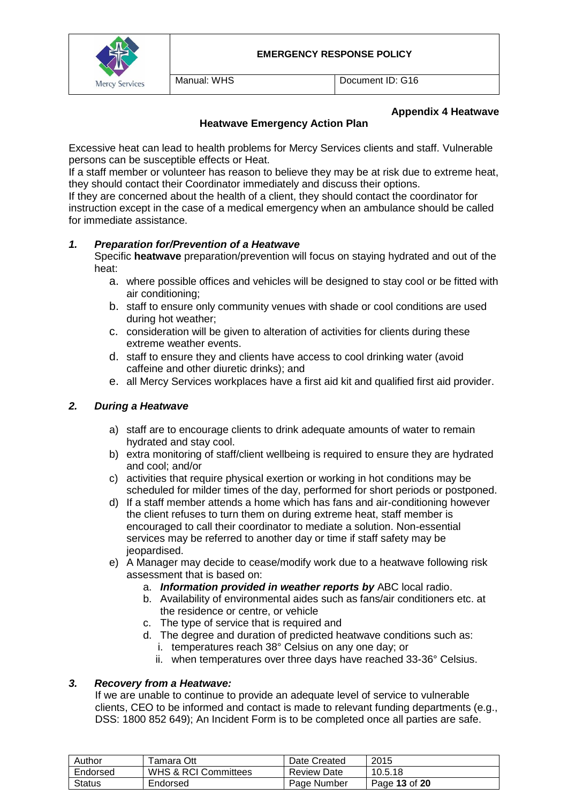

Manual: WHS **Document ID: G16** 

### **Appendix 4 Heatwave**

## **Heatwave Emergency Action Plan**

Excessive heat can lead to health problems for Mercy Services clients and staff. Vulnerable persons can be susceptible effects or Heat.

If a staff member or volunteer has reason to believe they may be at risk due to extreme heat, they should contact their Coordinator immediately and discuss their options.

If they are concerned about the health of a client, they should contact the coordinator for instruction except in the case of a medical emergency when an ambulance should be called for immediate assistance.

#### *1. Preparation for/Prevention of a Heatwave*

Specific **heatwave** preparation/prevention will focus on staying hydrated and out of the heat:

- a. where possible offices and vehicles will be designed to stay cool or be fitted with air conditioning;
- b. staff to ensure only community venues with shade or cool conditions are used during hot weather;
- c. consideration will be given to alteration of activities for clients during these extreme weather events.
- d. staff to ensure they and clients have access to cool drinking water (avoid caffeine and other diuretic drinks); and
- e. all Mercy Services workplaces have a first aid kit and qualified first aid provider.

## *2. During a Heatwave*

- a) staff are to encourage clients to drink adequate amounts of water to remain hydrated and stay cool.
- b) extra monitoring of staff/client wellbeing is required to ensure they are hydrated and cool; and/or
- c) activities that require physical exertion or working in hot conditions may be scheduled for milder times of the day, performed for short periods or postponed.
- d) If a staff member attends a home which has fans and air-conditioning however the client refuses to turn them on during extreme heat, staff member is encouraged to call their coordinator to mediate a solution. Non-essential services may be referred to another day or time if staff safety may be jeopardised.
- e) A Manager may decide to cease/modify work due to a heatwave following risk assessment that is based on:
	- a. *Information provided in weather reports by* ABC local radio.
	- b. Availability of environmental aides such as fans/air conditioners etc. at the residence or centre, or vehicle
	- c. The type of service that is required and
	- d. The degree and duration of predicted heatwave conditions such as: i. temperatures reach 38° Celsius on any one day; or
		- ii. when temperatures over three days have reached 33-36° Celsius.

#### *3. Recovery from a Heatwave:*

If we are unable to continue to provide an adequate level of service to vulnerable clients, CEO to be informed and contact is made to relevant funding departments (e.g., DSS: 1800 852 649); An Incident Form is to be completed once all parties are safe.

| Author        | ™amara Ott           | Date Created       | 2015          |
|---------------|----------------------|--------------------|---------------|
| Endorsed      | WHS & RCI Committees | <b>Review Date</b> | 10.5.18       |
| <b>Status</b> | Endorsed             | Page Number        | Page 13 of 20 |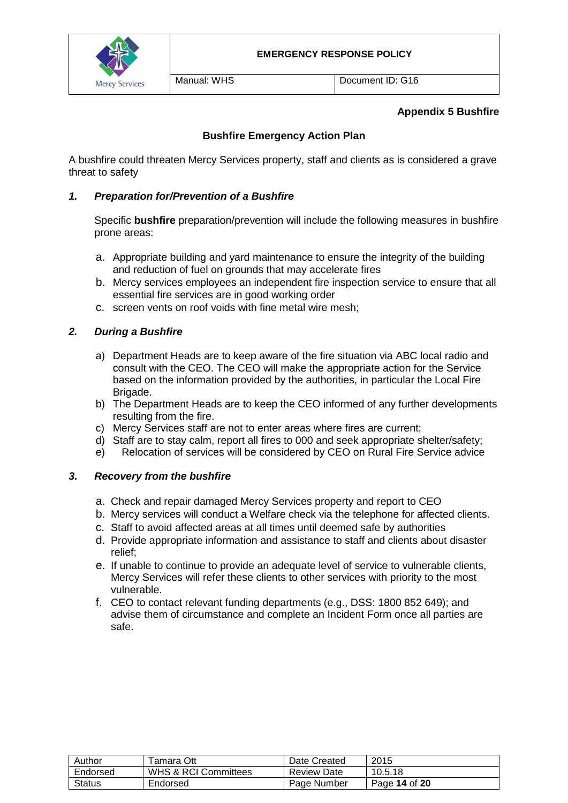

Manual: WHS Document ID: G16

## **Appendix 5 Bushfire**

## **Bushfire Emergency Action Plan**

A bushfire could threaten Mercy Services property, staff and clients as is considered a grave threat to safety

#### *1. Preparation for/Prevention of a Bushfire*

Specific **bushfire** preparation/prevention will include the following measures in bushfire prone areas:

- a. Appropriate building and yard maintenance to ensure the integrity of the building and reduction of fuel on grounds that may accelerate fires
- b. Mercy services employees an independent fire inspection service to ensure that all essential fire services are in good working order
- c. screen vents on roof voids with fine metal wire mesh;

## *2. During a Bushfire*

- a) Department Heads are to keep aware of the fire situation via ABC local radio and consult with the CEO. The CEO will make the appropriate action for the Service based on the information provided by the authorities, in particular the Local Fire Brigade.
- b) The Department Heads are to keep the CEO informed of any further developments resulting from the fire.
- c) Mercy Services staff are not to enter areas where fires are current;
- d) Staff are to stay calm, report all fires to 000 and seek appropriate shelter/safety;
- e) Relocation of services will be considered by CEO on Rural Fire Service advice

#### *3. Recovery from the bushfire*

- a. Check and repair damaged Mercy Services property and report to CEO
- b. Mercy services will conduct a Welfare check via the telephone for affected clients.
- c. Staff to avoid affected areas at all times until deemed safe by authorities
- d. Provide appropriate information and assistance to staff and clients about disaster relief;
- e. If unable to continue to provide an adequate level of service to vulnerable clients, Mercy Services will refer these clients to other services with priority to the most vulnerable.
- f. CEO to contact relevant funding departments (e.g., DSS: 1800 852 649); and advise them of circumstance and complete an Incident Form once all parties are safe.

| Author   | <sup>⊓</sup> amara Ott          | Date Created       | 2015          |
|----------|---------------------------------|--------------------|---------------|
| Endorsed | <b>WHS &amp; RCI Committees</b> | <b>Review Date</b> | 10.5.18       |
| Status   | Endorsed                        | Page Number        | Page 14 of 20 |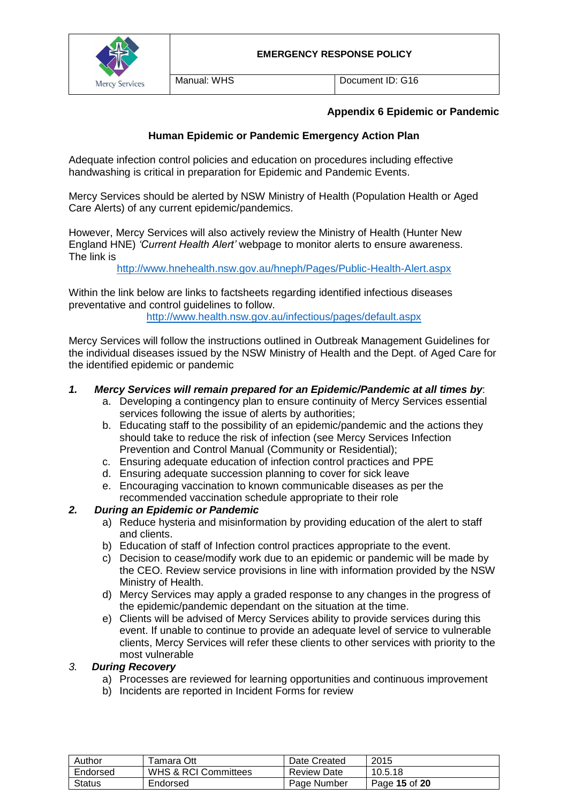



## **Appendix 6 Epidemic or Pandemic**

## **Human Epidemic or Pandemic Emergency Action Plan**

Adequate infection control policies and education on procedures including effective handwashing is critical in preparation for Epidemic and Pandemic Events.

Mercy Services should be alerted by NSW Ministry of Health (Population Health or Aged Care Alerts) of any current epidemic/pandemics.

However, Mercy Services will also actively review the Ministry of Health (Hunter New England HNE) *'Current Health Alert'* webpage to monitor alerts to ensure awareness. The link is

<http://www.hnehealth.nsw.gov.au/hneph/Pages/Public-Health-Alert.aspx>

Within the link below are links to factsheets regarding identified infectious diseases preventative and control guidelines to follow.

<http://www.health.nsw.gov.au/infectious/pages/default.aspx>

Mercy Services will follow the instructions outlined in Outbreak Management Guidelines for the individual diseases issued by the NSW Ministry of Health and the Dept. of Aged Care for the identified epidemic or pandemic

#### *1. Mercy Services will remain prepared for an Epidemic/Pandemic at all times by*:

- a. Developing a contingency plan to ensure continuity of Mercy Services essential services following the issue of alerts by authorities;
- b. Educating staff to the possibility of an epidemic/pandemic and the actions they should take to reduce the risk of infection (see Mercy Services Infection Prevention and Control Manual (Community or Residential);
- c. Ensuring adequate education of infection control practices and PPE
- d. Ensuring adequate succession planning to cover for sick leave
- e. Encouraging vaccination to known communicable diseases as per the recommended vaccination schedule appropriate to their role

#### *2. During an Epidemic or Pandemic*

- a) Reduce hysteria and misinformation by providing education of the alert to staff and clients.
- b) Education of staff of Infection control practices appropriate to the event.
- c) Decision to cease/modify work due to an epidemic or pandemic will be made by the CEO. Review service provisions in line with information provided by the NSW Ministry of Health.
- d) Mercy Services may apply a graded response to any changes in the progress of the epidemic/pandemic dependant on the situation at the time.
- e) Clients will be advised of Mercy Services ability to provide services during this event. If unable to continue to provide an adequate level of service to vulnerable clients, Mercy Services will refer these clients to other services with priority to the most vulnerable

#### *3. During Recovery*

- a) Processes are reviewed for learning opportunities and continuous improvement
- b) Incidents are reported in Incident Forms for review

| Author   | `amara Ott                      | Date Created       | 2015          |
|----------|---------------------------------|--------------------|---------------|
| Endorsed | <b>WHS &amp; RCI Committees</b> | <b>Review Date</b> | 10.5.18       |
| Status   | Endorsed                        | Page Number        | Page 15 of 20 |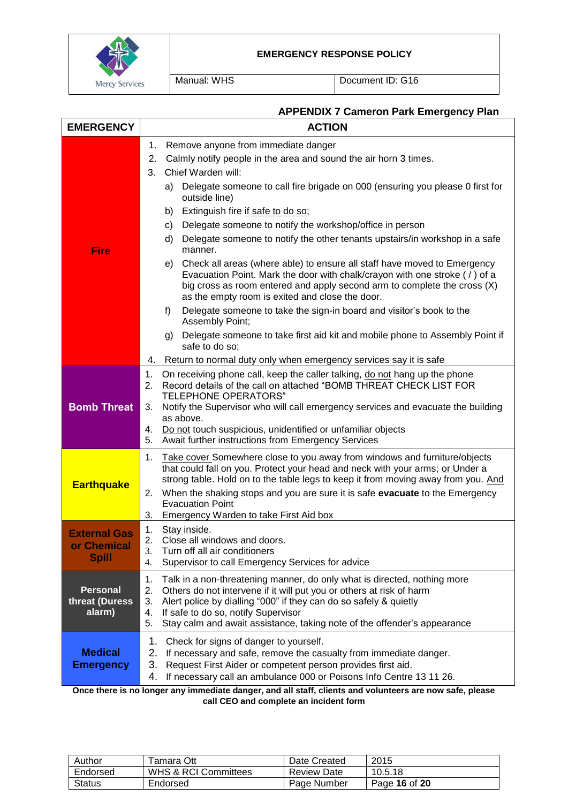

Manual: WHS Document ID: G16

## **APPENDIX 7 Cameron Park Emergency Plan**

| <b>EMERGENCY</b>                                   | <b>ACTION</b>                                                                                                                                                                                                                                                                                                                                                                                                                                                                                                                                                                                                                                                                                                                                                                                                                                                        |
|----------------------------------------------------|----------------------------------------------------------------------------------------------------------------------------------------------------------------------------------------------------------------------------------------------------------------------------------------------------------------------------------------------------------------------------------------------------------------------------------------------------------------------------------------------------------------------------------------------------------------------------------------------------------------------------------------------------------------------------------------------------------------------------------------------------------------------------------------------------------------------------------------------------------------------|
| Fire                                               | Remove anyone from immediate danger<br>1.<br>Calmly notify people in the area and sound the air horn 3 times.<br>2.<br>Chief Warden will:<br>3.<br>Delegate someone to call fire brigade on 000 (ensuring you please 0 first for<br>a)<br>outside line)<br>Extinguish fire if safe to do so;<br>b)<br>Delegate someone to notify the workshop/office in person<br>C)<br>Delegate someone to notify the other tenants upstairs/in workshop in a safe<br>d)<br>manner.<br>Check all areas (where able) to ensure all staff have moved to Emergency<br>e)<br>Evacuation Point. Mark the door with chalk/crayon with one stroke (/) of a<br>big cross as room entered and apply second arm to complete the cross (X)<br>as the empty room is exited and close the door.<br>f)<br>Delegate someone to take the sign-in board and visitor's book to the<br>Assembly Point; |
|                                                    | g) Delegate someone to take first aid kit and mobile phone to Assembly Point if<br>safe to do so;<br>Return to normal duty only when emergency services say it is safe<br>4.                                                                                                                                                                                                                                                                                                                                                                                                                                                                                                                                                                                                                                                                                         |
| <b>Bomb Threat</b>                                 | 1.<br>On receiving phone call, keep the caller talking, do not hang up the phone<br>Record details of the call on attached "BOMB THREAT CHECK LIST FOR<br>2.<br><b>TELEPHONE OPERATORS"</b><br>Notify the Supervisor who will call emergency services and evacuate the building<br>3.<br>as above.<br>Do not touch suspicious, unidentified or unfamiliar objects<br>4.<br>Await further instructions from Emergency Services<br>5.                                                                                                                                                                                                                                                                                                                                                                                                                                  |
| <b>Earthquake</b>                                  | Take cover Somewhere close to you away from windows and furniture/objects<br>1.<br>that could fall on you. Protect your head and neck with your arms; or Under a<br>strong table. Hold on to the table legs to keep it from moving away from you. And<br>When the shaking stops and you are sure it is safe evacuate to the Emergency<br>2.<br><b>Evacuation Point</b><br>Emergency Warden to take First Aid box<br>3.                                                                                                                                                                                                                                                                                                                                                                                                                                               |
| <b>External Gas</b><br>or Chemical<br><b>Spill</b> | Stay inside.<br>1.<br>2.<br>Close all windows and doors.<br>3.<br>Turn off all air conditioners<br>Supervisor to call Emergency Services for advice<br>4.                                                                                                                                                                                                                                                                                                                                                                                                                                                                                                                                                                                                                                                                                                            |
| <b>Personal</b><br>threat (Duress<br>alarm)        | Talk in a non-threatening manner, do only what is directed, nothing more<br>1.<br>2.<br>Others do not intervene if it will put you or others at risk of harm<br>3.<br>Alert police by dialling "000" if they can do so safely & quietly<br>4.<br>If safe to do so, notify Supervisor<br>Stay calm and await assistance, taking note of the offender's appearance<br>5.                                                                                                                                                                                                                                                                                                                                                                                                                                                                                               |
| <b>Medical</b><br><b>Emergency</b>                 | 1.<br>Check for signs of danger to yourself.<br>2.<br>If necessary and safe, remove the casualty from immediate danger.<br>3.<br>Request First Aider or competent person provides first aid.<br>If necessary call an ambulance 000 or Poisons Info Centre 13 11 26.<br>4.                                                                                                                                                                                                                                                                                                                                                                                                                                                                                                                                                                                            |

**Once there is no longer any immediate danger, and all staff, clients and volunteers are now safe, please call CEO and complete an incident form**

| Author        | <sup>-</sup> amara Ott          | Date Created       | 2015          |
|---------------|---------------------------------|--------------------|---------------|
| Endorsed      | <b>WHS &amp; RCI Committees</b> | <b>Review Date</b> | 10.5.18       |
| <b>Status</b> | Endorsed                        | Page Number        | Page 16 of 20 |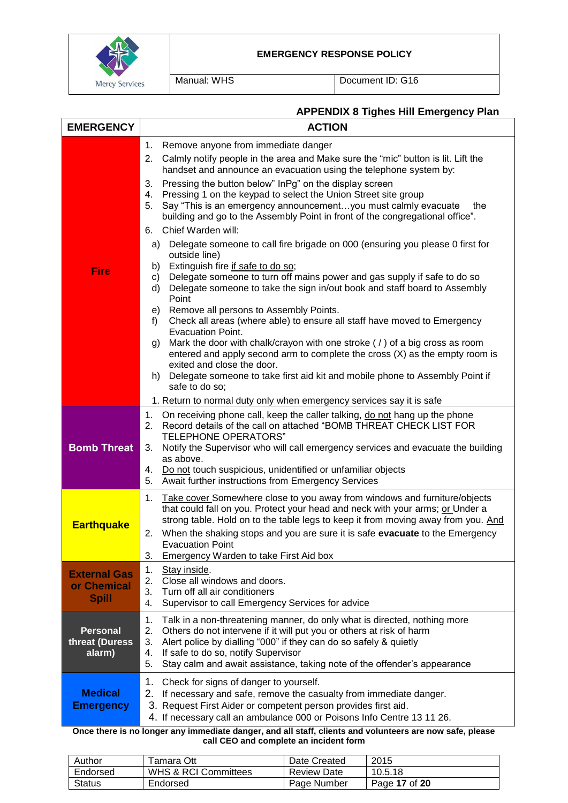

Manual: WHS Document ID: G16

# **APPENDIX 8 Tighes Hill Emergency Plan**

| <b>EMERGENCY</b>                                   | <b>ACTION</b>                                                                                                                                                                                                                                                                                                                                                                                                                                                                                                                                                                                                                                                                                                                                                                                                                                                                                                                                                                                                                                                                                                                                                                                                                                                                                                                                                 |
|----------------------------------------------------|---------------------------------------------------------------------------------------------------------------------------------------------------------------------------------------------------------------------------------------------------------------------------------------------------------------------------------------------------------------------------------------------------------------------------------------------------------------------------------------------------------------------------------------------------------------------------------------------------------------------------------------------------------------------------------------------------------------------------------------------------------------------------------------------------------------------------------------------------------------------------------------------------------------------------------------------------------------------------------------------------------------------------------------------------------------------------------------------------------------------------------------------------------------------------------------------------------------------------------------------------------------------------------------------------------------------------------------------------------------|
| <b>Fire</b>                                        | 1.<br>Remove anyone from immediate danger<br>2.<br>Calmly notify people in the area and Make sure the "mic" button is lit. Lift the<br>handset and announce an evacuation using the telephone system by:<br>Pressing the button below" InPg" on the display screen<br>3.<br>Pressing 1 on the keypad to select the Union Street site group<br>4.<br>Say "This is an emergency announcementyou must calmly evacuate<br>5.<br>the<br>building and go to the Assembly Point in front of the congregational office".<br>Chief Warden will:<br>6.<br>Delegate someone to call fire brigade on 000 (ensuring you please 0 first for<br>a)<br>outside line)<br>Extinguish fire if safe to do so;<br>b)<br>Delegate someone to turn off mains power and gas supply if safe to do so<br>C)<br>Delegate someone to take the sign in/out book and staff board to Assembly<br>d)<br>Point<br>Remove all persons to Assembly Points.<br>e)<br>Check all areas (where able) to ensure all staff have moved to Emergency<br>f)<br><b>Evacuation Point.</b><br>Mark the door with chalk/crayon with one stroke ( $\prime$ ) of a big cross as room<br>g)<br>entered and apply second arm to complete the cross (X) as the empty room is<br>exited and close the door.<br>Delegate someone to take first aid kit and mobile phone to Assembly Point if<br>h)<br>safe to do so; |
|                                                    | 1. Return to normal duty only when emergency services say it is safe<br>1.<br>On receiving phone call, keep the caller talking, do not hang up the phone                                                                                                                                                                                                                                                                                                                                                                                                                                                                                                                                                                                                                                                                                                                                                                                                                                                                                                                                                                                                                                                                                                                                                                                                      |
| <b>Bomb Threat</b>                                 | 2.<br>Record details of the call on attached "BOMB THREAT CHECK LIST FOR<br>TELEPHONE OPERATORS"<br>Notify the Supervisor who will call emergency services and evacuate the building<br>3.<br>as above.<br>Do not touch suspicious, unidentified or unfamiliar objects<br>4.<br>Await further instructions from Emergency Services<br>5.                                                                                                                                                                                                                                                                                                                                                                                                                                                                                                                                                                                                                                                                                                                                                                                                                                                                                                                                                                                                                      |
| <b>Earthquake</b>                                  | Take cover Somewhere close to you away from windows and furniture/objects<br>1.<br>that could fall on you. Protect your head and neck with your arms; or Under a<br>strong table. Hold on to the table legs to keep it from moving away from you. And<br>When the shaking stops and you are sure it is safe evacuate to the Emergency<br>2.<br><b>Evacuation Point</b><br>Emergency Warden to take First Aid box<br>3.                                                                                                                                                                                                                                                                                                                                                                                                                                                                                                                                                                                                                                                                                                                                                                                                                                                                                                                                        |
| <b>External Gas</b><br>or Chemical<br><b>Spill</b> | 1.<br>Stay inside.<br>2.<br>Close all windows and doors.<br>Turn off all air conditioners<br>3.<br>Supervisor to call Emergency Services for advice<br>4.                                                                                                                                                                                                                                                                                                                                                                                                                                                                                                                                                                                                                                                                                                                                                                                                                                                                                                                                                                                                                                                                                                                                                                                                     |
| <b>Personal</b><br>threat (Duress<br>alarm)        | 1.<br>Talk in a non-threatening manner, do only what is directed, nothing more<br>2.<br>Others do not intervene if it will put you or others at risk of harm<br>Alert police by dialling "000" if they can do so safely & quietly<br>3.<br>If safe to do so, notify Supervisor<br>4.<br>Stay calm and await assistance, taking note of the offender's appearance<br>5.                                                                                                                                                                                                                                                                                                                                                                                                                                                                                                                                                                                                                                                                                                                                                                                                                                                                                                                                                                                        |
| <b>Medical</b><br><b>Emergency</b>                 | 1.<br>Check for signs of danger to yourself.<br>2. If necessary and safe, remove the casualty from immediate danger.<br>3. Request First Aider or competent person provides first aid.<br>4. If necessary call an ambulance 000 or Poisons Info Centre 13 11 26.<br>Once there is no longer any immediate danger, and all staff, clients and volunteers are now safe, please                                                                                                                                                                                                                                                                                                                                                                                                                                                                                                                                                                                                                                                                                                                                                                                                                                                                                                                                                                                  |

**call CEO and complete an incident form**

| Author   | <sup>⊓</sup> amara Ott          | Date Created       | 2015          |
|----------|---------------------------------|--------------------|---------------|
| Endorsed | <b>WHS &amp; RCI Committees</b> | <b>Review Date</b> | 10.5.18       |
| Status   | Endorsed                        | Page Number        | Page 17 of 20 |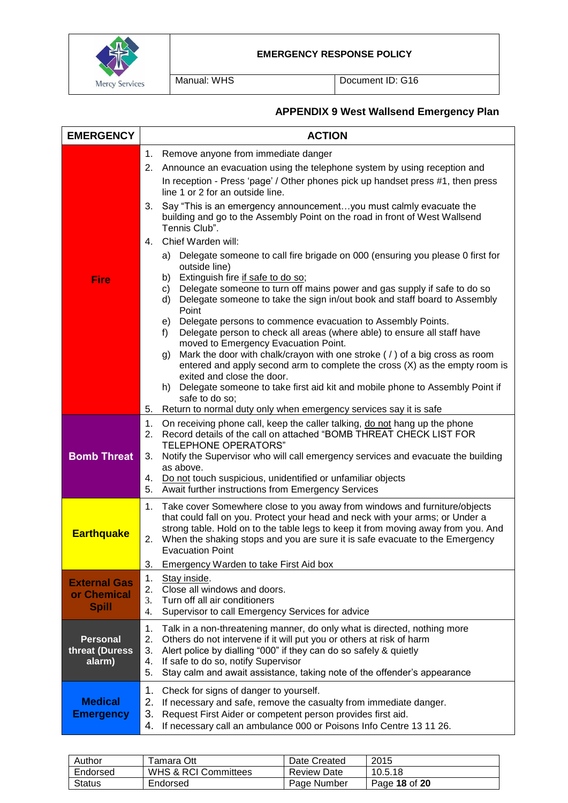

Manual: WHS Document ID: G16

# **APPENDIX 9 West Wallsend Emergency Plan**

| <b>EMERGENCY</b>                                   | <b>ACTION</b>                                                                                                                                                                                                                                                                                                                                                          |
|----------------------------------------------------|------------------------------------------------------------------------------------------------------------------------------------------------------------------------------------------------------------------------------------------------------------------------------------------------------------------------------------------------------------------------|
|                                                    | Remove anyone from immediate danger<br>1.                                                                                                                                                                                                                                                                                                                              |
|                                                    | 2.<br>Announce an evacuation using the telephone system by using reception and<br>In reception - Press 'page' / Other phones pick up handset press #1, then press<br>line 1 or 2 for an outside line.                                                                                                                                                                  |
|                                                    | Say "This is an emergency announcement you must calmly evacuate the<br>3.<br>building and go to the Assembly Point on the road in front of West Wallsend<br>Tennis Club".                                                                                                                                                                                              |
|                                                    | Chief Warden will:<br>4.                                                                                                                                                                                                                                                                                                                                               |
| <b>Fire</b>                                        | Delegate someone to call fire brigade on 000 (ensuring you please 0 first for<br>a)<br>outside line)<br>b) Extinguish fire if safe to do so;<br>Delegate someone to turn off mains power and gas supply if safe to do so<br>C)<br>Delegate someone to take the sign in/out book and staff board to Assembly<br>d)<br>Point                                             |
|                                                    | e) Delegate persons to commence evacuation to Assembly Points.<br>Delegate person to check all areas (where able) to ensure all staff have<br>f)                                                                                                                                                                                                                       |
|                                                    | moved to Emergency Evacuation Point.<br>Mark the door with chalk/crayon with one stroke ( $\prime$ ) of a big cross as room<br>g)<br>entered and apply second arm to complete the cross (X) as the empty room is                                                                                                                                                       |
|                                                    | exited and close the door.<br>h) Delegate someone to take first aid kit and mobile phone to Assembly Point if<br>safe to do so;                                                                                                                                                                                                                                        |
|                                                    | Return to normal duty only when emergency services say it is safe<br>5.                                                                                                                                                                                                                                                                                                |
| <b>Bomb Threat</b>                                 | On receiving phone call, keep the caller talking, do not hang up the phone<br>1.<br>Record details of the call on attached "BOMB THREAT CHECK LIST FOR<br>2.<br><b>TELEPHONE OPERATORS"</b><br>Notify the Supervisor who will call emergency services and evacuate the building<br>3.<br>as above.                                                                     |
|                                                    | Do not touch suspicious, unidentified or unfamiliar objects<br>4.<br>Await further instructions from Emergency Services<br>5.                                                                                                                                                                                                                                          |
| <b>Earthquake</b>                                  | Take cover Somewhere close to you away from windows and furniture/objects<br>1.<br>that could fall on you. Protect your head and neck with your arms; or Under a<br>strong table. Hold on to the table legs to keep it from moving away from you. And<br>When the shaking stops and you are sure it is safe evacuate to the Emergency<br>2.                            |
|                                                    | <b>Evacuation Point</b><br>3.<br>Emergency Warden to take First Aid box                                                                                                                                                                                                                                                                                                |
| <b>External Gas</b><br>or Chemical<br><b>Spill</b> | 1.<br>Stay inside.<br>Close all windows and doors.<br>2.<br>Turn off all air conditioners<br>3.<br>Supervisor to call Emergency Services for advice<br>4.                                                                                                                                                                                                              |
| <b>Personal</b><br>threat (Duress<br>alarm)        | 1.<br>Talk in a non-threatening manner, do only what is directed, nothing more<br>2.<br>Others do not intervene if it will put you or others at risk of harm<br>3.<br>Alert police by dialling "000" if they can do so safely & quietly<br>If safe to do so, notify Supervisor<br>4.<br>5.<br>Stay calm and await assistance, taking note of the offender's appearance |
| <b>Medical</b><br><b>Emergency</b>                 | 1.<br>Check for signs of danger to yourself.<br>2.<br>If necessary and safe, remove the casualty from immediate danger.<br>3.<br>Request First Aider or competent person provides first aid.<br>If necessary call an ambulance 000 or Poisons Info Centre 13 11 26.<br>4.                                                                                              |

| Author   | Гаmаrа Ott                      | Date Created       | 2015          |
|----------|---------------------------------|--------------------|---------------|
| Endorsed | <b>WHS &amp; RCI Committees</b> | <b>Review Date</b> | 10.5.18       |
| Status   | Endorsed                        | Page Number        | Page 18 of 20 |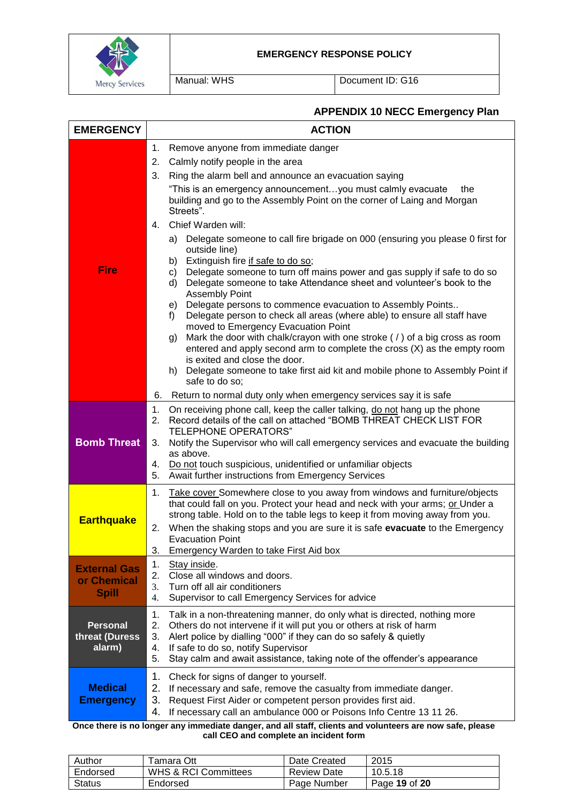

Manual: WHS Document ID: G16

## **APPENDIX 10 NECC Emergency Plan**

| <b>EMERGENCY</b>                                   | <b>ACTION</b>                                                                                                                                                                                                                                                                                                                                                                                                                                                                                                                                                                                                                                                                                                                                                                                                                                                                                                                                                                                                                                                                                                                                                                                                                                                                      |  |  |
|----------------------------------------------------|------------------------------------------------------------------------------------------------------------------------------------------------------------------------------------------------------------------------------------------------------------------------------------------------------------------------------------------------------------------------------------------------------------------------------------------------------------------------------------------------------------------------------------------------------------------------------------------------------------------------------------------------------------------------------------------------------------------------------------------------------------------------------------------------------------------------------------------------------------------------------------------------------------------------------------------------------------------------------------------------------------------------------------------------------------------------------------------------------------------------------------------------------------------------------------------------------------------------------------------------------------------------------------|--|--|
| <b>Fire</b>                                        | Remove anyone from immediate danger<br>1.<br>2.<br>Calmly notify people in the area<br>3.<br>Ring the alarm bell and announce an evacuation saying<br>"This is an emergency announcementyou must calmly evacuate<br>the<br>building and go to the Assembly Point on the corner of Laing and Morgan<br>Streets".<br>Chief Warden will:<br>4.<br>Delegate someone to call fire brigade on 000 (ensuring you please 0 first for<br>a)<br>outside line)<br>Extinguish fire if safe to do so;<br>b)<br>Delegate someone to turn off mains power and gas supply if safe to do so<br>C)<br>Delegate someone to take Attendance sheet and volunteer's book to the<br>d)<br><b>Assembly Point</b><br>Delegate persons to commence evacuation to Assembly Points<br>e)<br>Delegate person to check all areas (where able) to ensure all staff have<br>f)<br>moved to Emergency Evacuation Point<br>Mark the door with chalk/crayon with one stroke ( $\prime$ ) of a big cross as room<br>g)<br>entered and apply second arm to complete the cross (X) as the empty room<br>is exited and close the door.<br>Delegate someone to take first aid kit and mobile phone to Assembly Point if<br>h)<br>safe to do so;<br>Return to normal duty only when emergency services say it is safe<br>6. |  |  |
| <b>Bomb Threat</b>                                 | 1.<br>On receiving phone call, keep the caller talking, do not hang up the phone<br>Record details of the call on attached "BOMB THREAT CHECK LIST FOR<br>2.<br><b>TELEPHONE OPERATORS"</b><br>Notify the Supervisor who will call emergency services and evacuate the building<br>3.<br>as above.<br>Do not touch suspicious, unidentified or unfamiliar objects<br>4.<br>5. Await further instructions from Emergency Services                                                                                                                                                                                                                                                                                                                                                                                                                                                                                                                                                                                                                                                                                                                                                                                                                                                   |  |  |
| <b>Earthquake</b>                                  | Take cover Somewhere close to you away from windows and furniture/objects<br>1.<br>that could fall on you. Protect your head and neck with your arms; or Under a<br>strong table. Hold on to the table legs to keep it from moving away from you.<br>When the shaking stops and you are sure it is safe evacuate to the Emergency<br>2.<br><b>Evacuation Point</b><br>Emergency Warden to take First Aid box<br>3.<br>1.                                                                                                                                                                                                                                                                                                                                                                                                                                                                                                                                                                                                                                                                                                                                                                                                                                                           |  |  |
| <b>External Gas</b><br>or Chemical<br><b>Spill</b> | Stay inside.<br>Close all windows and doors.<br>2.<br>3.<br>Turn off all air conditioners<br>4.<br>Supervisor to call Emergency Services for advice                                                                                                                                                                                                                                                                                                                                                                                                                                                                                                                                                                                                                                                                                                                                                                                                                                                                                                                                                                                                                                                                                                                                |  |  |
| <b>Personal</b><br>threat (Duress<br>alarm)        | 1.<br>Talk in a non-threatening manner, do only what is directed, nothing more<br>2.<br>Others do not intervene if it will put you or others at risk of harm<br>Alert police by dialling "000" if they can do so safely & quietly<br>3.<br>If safe to do so, notify Supervisor<br>4.<br>5.<br>Stay calm and await assistance, taking note of the offender's appearance                                                                                                                                                                                                                                                                                                                                                                                                                                                                                                                                                                                                                                                                                                                                                                                                                                                                                                             |  |  |
| <b>Medical</b><br><b>Emergency</b>                 | 1.<br>Check for signs of danger to yourself.<br>2.<br>If necessary and safe, remove the casualty from immediate danger.<br>3.<br>Request First Aider or competent person provides first aid.<br>4.<br>If necessary call an ambulance 000 or Poisons Info Centre 13 11 26.<br>Once there is no longer any immediate danger, and all staff, clients and volunteers are now safe, please                                                                                                                                                                                                                                                                                                                                                                                                                                                                                                                                                                                                                                                                                                                                                                                                                                                                                              |  |  |

**call CEO and complete an incident form**

| Author        | <sup>r</sup> amara Ott          | Date Created       | 2015          |
|---------------|---------------------------------|--------------------|---------------|
| Endorsed      | <b>WHS &amp; RCI Committees</b> | <b>Review Date</b> | 10.5.18       |
| <b>Status</b> | Endorsed                        | Page Number        | Page 19 of 20 |